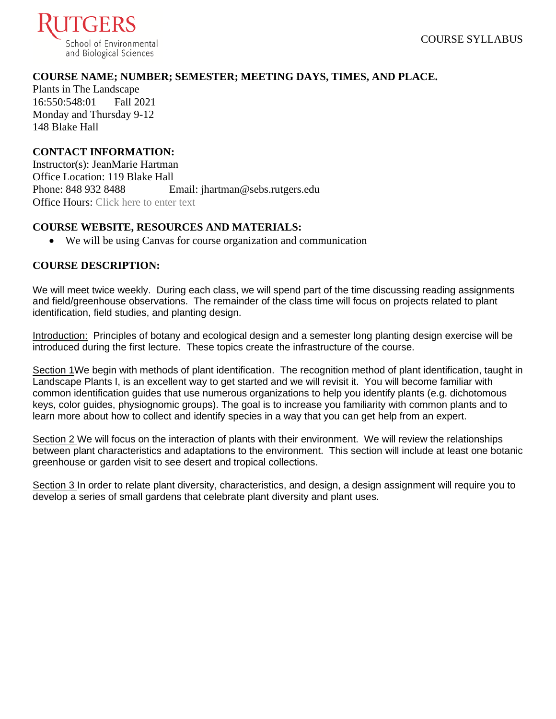

### **COURSE NAME; NUMBER; SEMESTER; MEETING DAYS, TIMES, AND PLACE.**

Plants in The Landscape 16:550:548:01 Fall 2021 Monday and Thursday 9-12 148 Blake Hall

### **CONTACT INFORMATION:**

Instructor(s): JeanMarie Hartman Office Location: 119 Blake Hall Phone: 848 932 8488 Email: jhartman@sebs.rutgers.edu Office Hours: Click here to enter text

### **COURSE WEBSITE, RESOURCES AND MATERIALS:**

• We will be using Canvas for course organization and communication

### **COURSE DESCRIPTION:**

We will meet twice weekly. During each class, we will spend part of the time discussing reading assignments and field/greenhouse observations. The remainder of the class time will focus on projects related to plant identification, field studies, and planting design.

Introduction: Principles of botany and ecological design and a semester long planting design exercise will be introduced during the first lecture. These topics create the infrastructure of the course.

Section 1We begin with methods of plant identification. The recognition method of plant identification, taught in Landscape Plants I, is an excellent way to get started and we will revisit it. You will become familiar with common identification guides that use numerous organizations to help you identify plants (e.g. dichotomous keys, color guides, physiognomic groups). The goal is to increase you familiarity with common plants and to learn more about how to collect and identify species in a way that you can get help from an expert.

Section 2 We will focus on the interaction of plants with their environment. We will review the relationships between plant characteristics and adaptations to the environment. This section will include at least one botanic greenhouse or garden visit to see desert and tropical collections.

Section 3 In order to relate plant diversity, characteristics, and design, a design assignment will require you to develop a series of small gardens that celebrate plant diversity and plant uses.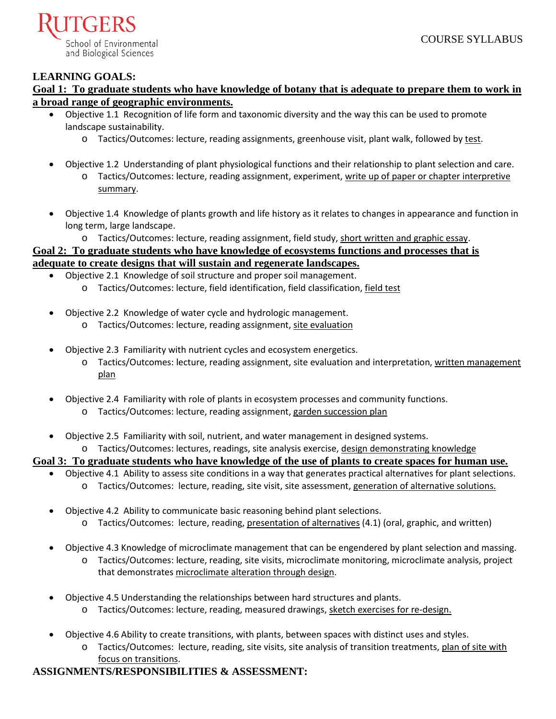

### **LEARNING GOALS:**

**Goal 1: To graduate students who have knowledge of botany that is adequate to prepare them to work in a broad range of geographic environments.**

- Objective 1.1 Recognition of life form and taxonomic diversity and the way this can be used to promote landscape sustainability.
	- o Tactics/Outcomes: lecture, reading assignments, greenhouse visit, plant walk, followed by test.
- Objective 1.2 Understanding of plant physiological functions and their relationship to plant selection and care. o Tactics/Outcomes: lecture, reading assignment, experiment, write up of paper or chapter interpretive summary.
- Objective 1.4 Knowledge of plants growth and life history as it relates to changes in appearance and function in long term, large landscape.
	- o Tactics/Outcomes: lecture, reading assignment, field study, short written and graphic essay.

# **Goal 2: To graduate students who have knowledge of ecosystems functions and processes that is adequate to create designs that will sustain and regenerate landscapes.**

- Objective 2.1 Knowledge of soil structure and proper soil management.
	- o Tactics/Outcomes: lecture, field identification, field classification, field test
- Objective 2.2 Knowledge of water cycle and hydrologic management.
	- o Tactics/Outcomes: lecture, reading assignment, site evaluation
- Objective 2.3 Familiarity with nutrient cycles and ecosystem energetics.
	- o Tactics/Outcomes: lecture, reading assignment, site evaluation and interpretation, written management plan
- Objective 2.4 Familiarity with role of plants in ecosystem processes and community functions.
	- o Tactics/Outcomes: lecture, reading assignment, garden succession plan
- Objective 2.5 Familiarity with soil, nutrient, and water management in designed systems. o Tactics/Outcomes: lectures, readings, site analysis exercise, design demonstrating knowledge

**Goal 3: To graduate students who have knowledge of the use of plants to create spaces for human use.**

- Objective 4.1 Ability to assess site conditions in a way that generates practical alternatives for plant selections. o Tactics/Outcomes: lecture, reading, site visit, site assessment, generation of alternative solutions.
- Objective 4.2 Ability to communicate basic reasoning behind plant selections.
	- o Tactics/Outcomes: lecture, reading, presentation of alternatives (4.1) (oral, graphic, and written)
- Objective 4.3 Knowledge of microclimate management that can be engendered by plant selection and massing.
	- o Tactics/Outcomes: lecture, reading, site visits, microclimate monitoring, microclimate analysis, project that demonstrates microclimate alteration through design.
- Objective 4.5 Understanding the relationships between hard structures and plants.
	- o Tactics/Outcomes: lecture, reading, measured drawings, sketch exercises for re-design.
- Objective 4.6 Ability to create transitions, with plants, between spaces with distinct uses and styles.
	- o Tactics/Outcomes: lecture, reading, site visits, site analysis of transition treatments, plan of site with focus on transitions.

# **ASSIGNMENTS/RESPONSIBILITIES & ASSESSMENT:**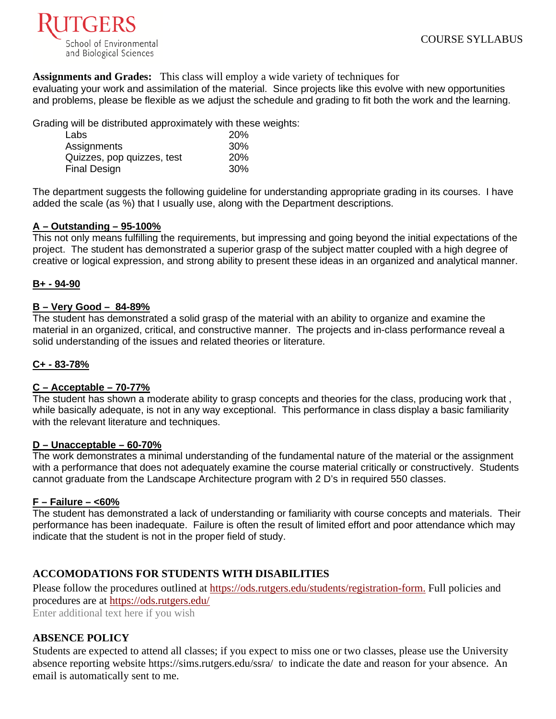

**Assignments and Grades:** This class will employ a wide variety of techniques for

evaluating your work and assimilation of the material. Since projects like this evolve with new opportunities and problems, please be flexible as we adjust the schedule and grading to fit both the work and the learning.

Grading will be distributed approximately with these weights:

| Labs                       | 20%        |
|----------------------------|------------|
| Assignments                | 30%        |
| Quizzes, pop quizzes, test | <b>20%</b> |
| Final Design               | 30%        |

The department suggests the following guideline for understanding appropriate grading in its courses. I have added the scale (as %) that I usually use, along with the Department descriptions.

#### **A – Outstanding – 95-100%**

This not only means fulfilling the requirements, but impressing and going beyond the initial expectations of the project. The student has demonstrated a superior grasp of the subject matter coupled with a high degree of creative or logical expression, and strong ability to present these ideas in an organized and analytical manner.

### **B+ - 94-90**

#### **B – Very Good – 84-89%**

The student has demonstrated a solid grasp of the material with an ability to organize and examine the material in an organized, critical, and constructive manner. The projects and in-class performance reveal a solid understanding of the issues and related theories or literature.

### **C+ - 83-78%**

#### **C – Acceptable – 70-77%**

The student has shown a moderate ability to grasp concepts and theories for the class, producing work that , while basically adequate, is not in any way exceptional. This performance in class display a basic familiarity with the relevant literature and techniques.

#### **D – Unacceptable – 60-70%**

The work demonstrates a minimal understanding of the fundamental nature of the material or the assignment with a performance that does not adequately examine the course material critically or constructively. Students cannot graduate from the Landscape Architecture program with 2 D's in required 550 classes.

#### **F – Failure – <60%**

The student has demonstrated a lack of understanding or familiarity with course concepts and materials. Their performance has been inadequate. Failure is often the result of limited effort and poor attendance which may indicate that the student is not in the proper field of study.

### **ACCOMODATIONS FOR STUDENTS WITH DISABILITIES**

Please follow the procedures outlined at [https://ods.rutgers.edu/students/registration-form.](https://ods.rutgers.edu/students/registration-form) Full policies and procedures are at<https://ods.rutgers.edu/>

Enter additional text here if you wish

#### **ABSENCE POLICY**

Students are expected to attend all classes; if you expect to miss one or two classes, please use the University absence reporting website<https://sims.rutgers.edu/ssra/>to indicate the date and reason for your absence. An email is automatically sent to me.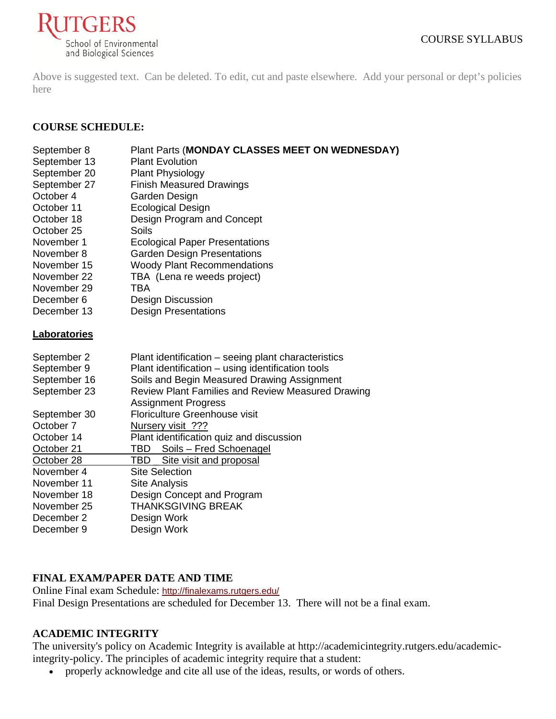

Above is suggested text. Can be deleted. To edit, cut and paste elsewhere. Add your personal or dept's policies here

# **COURSE SCHEDULE:**

| September 8  | Plant Parts (MONDAY CLASSES MEET ON WEDNESDAY)      |
|--------------|-----------------------------------------------------|
| September 13 | <b>Plant Evolution</b>                              |
| September 20 | <b>Plant Physiology</b>                             |
| September 27 | <b>Finish Measured Drawings</b>                     |
| October 4    | Garden Design                                       |
| October 11   | <b>Ecological Design</b>                            |
| October 18   | Design Program and Concept                          |
| October 25   | Soils                                               |
| November 1   | <b>Ecological Paper Presentations</b>               |
| November 8   | <b>Garden Design Presentations</b>                  |
| November 15  | <b>Woody Plant Recommendations</b>                  |
| November 22  | TBA (Lena re weeds project)                         |
| November 29  | <b>TBA</b>                                          |
| December 6   | <b>Design Discussion</b>                            |
| December 13  | <b>Design Presentations</b>                         |
| Laboratories |                                                     |
| September 2  | Plant identification – seeing plant characteristics |
| September 9  | Plant identification - using identification tools   |
| September 16 | Soils and Begin Measured Drawing Assignment         |
| September 23 | Review Plant Families and Review Measured Drawing   |
|              | <b>Assignment Progress</b>                          |
| September 30 | <b>Floriculture Greenhouse visit</b>                |
| October 7    |                                                     |
|              | Nursery visit ???                                   |
| October 14   | Plant identification quiz and discussion            |
| October 21   | Soils - Fred Schoenagel<br>TBD                      |
| October 28   | TBD<br>Site visit and proposal                      |
| November 4   | <b>Site Selection</b>                               |
| November 11  | <b>Site Analysis</b>                                |
| November 18  | Design Concept and Program                          |
| November 25  | <b>THANKSGIVING BREAK</b>                           |
| December 2   | Design Work                                         |
| December 9   | Design Work                                         |

# **FINAL EXAM/PAPER DATE AND TIME**

Online Final exam Schedule: <http://finalexams.rutgers.edu/> Final Design Presentations are scheduled for December 13. There will not be a final exam.

# **ACADEMIC INTEGRITY**

The university's policy on Academic Integrity is available at [http://academicintegrity.rutgers.edu/academic](http://academicintegrity.rutgers.edu/academic-integrity-policy)[integrity-policy.](http://academicintegrity.rutgers.edu/academic-integrity-policy) The principles of academic integrity require that a student:

• properly acknowledge and cite all use of the ideas, results, or words of others.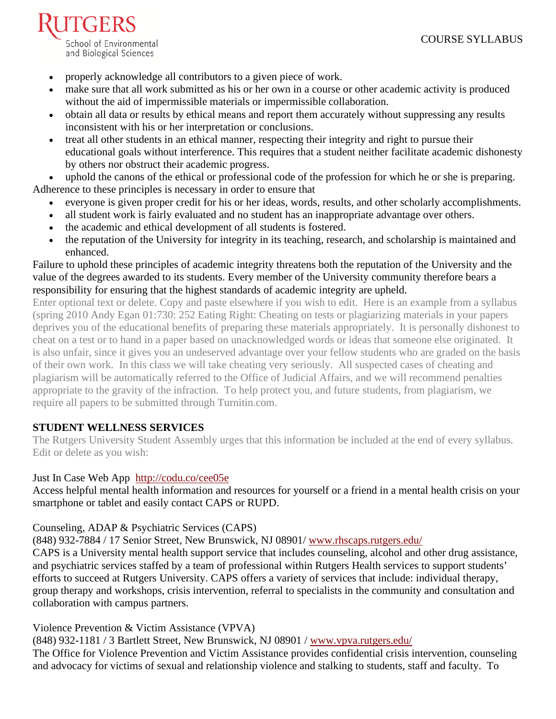- properly acknowledge all contributors to a given piece of work.
- make sure that all work submitted as his or her own in a course or other academic activity is produced without the aid of impermissible materials or impermissible collaboration.
- obtain all data or results by ethical means and report them accurately without suppressing any results inconsistent with his or her interpretation or conclusions.
- treat all other students in an ethical manner, respecting their integrity and right to pursue their educational goals without interference. This requires that a student neither facilitate academic dishonesty by others nor obstruct their academic progress.

uphold the canons of the ethical or professional code of the profession for which he or she is preparing. Adherence to these principles is necessary in order to ensure that

- everyone is given proper credit for his or her ideas, words, results, and other scholarly accomplishments.
- all student work is fairly evaluated and no student has an inappropriate advantage over others.
- the academic and ethical development of all students is fostered.
- the reputation of the University for integrity in its teaching, research, and scholarship is maintained and enhanced.

Failure to uphold these principles of academic integrity threatens both the reputation of the University and the value of the degrees awarded to its students. Every member of the University community therefore bears a responsibility for ensuring that the highest standards of academic integrity are upheld.

Enter optional text or delete. Copy and paste elsewhere if you wish to edit. Here is an example from a syllabus (spring 2010 Andy Egan 01:730: 252 Eating Right: Cheating on tests or plagiarizing materials in your papers deprives you of the educational benefits of preparing these materials appropriately. It is personally dishonest to cheat on a test or to hand in a paper based on unacknowledged words or ideas that someone else originated. It is also unfair, since it gives you an undeserved advantage over your fellow students who are graded on the basis of their own work. In this class we will take cheating very seriously. All suspected cases of cheating and plagiarism will be automatically referred to the Office of Judicial Affairs, and we will recommend penalties appropriate to the gravity of the infraction. To help protect you, and future students, from plagiarism, we require all papers to be submitted through Turnitin.com.

# **STUDENT WELLNESS SERVICES**

The Rutgers University Student Assembly urges that this information be included at the end of every syllabus. Edit or delete as you wish:

# [Just In Case Web App](http://m.appcreatorpro.com/m/rutgers/fda9f59ca5/fda9f59ca5.html) <http://codu.co/cee05e>

Access helpful mental health information and resources for yourself or a friend in a mental health crisis on your smartphone or tablet and easily contact CAPS or RUPD.

# Counseling, ADAP & Psychiatric Services (CAPS)

(848) 932-7884 / 17 Senior Street, New Brunswick, NJ 08901/ [www.rhscaps.rutgers.edu/](http://www.rhscaps.rutgers.edu/)

CAPS is a University mental health support service that includes counseling, alcohol and other drug assistance, and psychiatric services staffed by a team of professional within Rutgers Health services to support students' efforts to succeed at Rutgers University. CAPS offers a variety of services that include: individual therapy, group therapy and workshops, crisis intervention, referral to specialists in the community and consultation and collaboration with campus partners.

# Violence Prevention & Victim Assistance (VPVA)

(848) 932-1181 / 3 Bartlett Street, New Brunswick, NJ 08901 / [www.vpva.rutgers.edu/](http://www.vpva.rutgers.edu/)

The Office for Violence Prevention and Victim Assistance provides confidential crisis intervention, counseling and advocacy for victims of sexual and relationship violence and stalking to students, staff and faculty. To